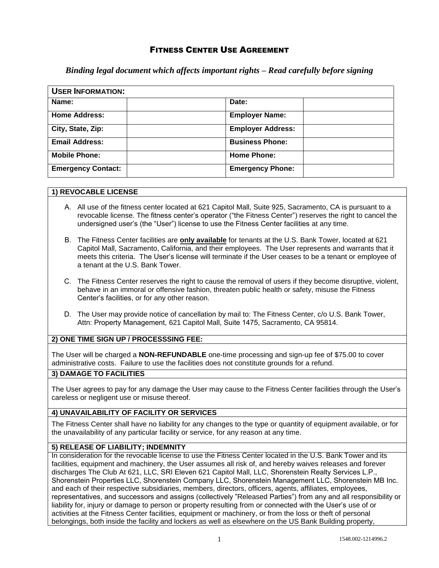# FITNESS CENTER USE AGREEMENT

*Binding legal document which affects important rights – Read carefully before signing* 

| <b>USER INFORMATION:</b>  |                          |  |
|---------------------------|--------------------------|--|
| Name:                     | Date:                    |  |
| <b>Home Address:</b>      | <b>Employer Name:</b>    |  |
| City, State, Zip:         | <b>Employer Address:</b> |  |
| <b>Email Address:</b>     | <b>Business Phone:</b>   |  |
| <b>Mobile Phone:</b>      | <b>Home Phone:</b>       |  |
| <b>Emergency Contact:</b> | <b>Emergency Phone:</b>  |  |

#### **1) REVOCABLE LICENSE**

- A. All use of the fitness center located at 621 Capitol Mall, Suite 925, Sacramento, CA is pursuant to a revocable license. The fitness center's operator ("the Fitness Center") reserves the right to cancel the undersigned user's (the "User") license to use the Fitness Center facilities at any time.
- B. The Fitness Center facilities are **only available** for tenants at the U.S. Bank Tower, located at 621 Capitol Mall, Sacramento, California, and their employees. The User represents and warrants that it meets this criteria. The User's license will terminate if the User ceases to be a tenant or employee of a tenant at the U.S. Bank Tower.
- C. The Fitness Center reserves the right to cause the removal of users if they become disruptive, violent, behave in an immoral or offensive fashion, threaten public health or safety, misuse the Fitness Center's facilities, or for any other reason.
- D. The User may provide notice of cancellation by mail to: The Fitness Center, c/o U.S. Bank Tower, Attn: Property Management, 621 Capitol Mall, Suite 1475, Sacramento, CA 95814.

### **2) ONE TIME SIGN UP / PROCESSSING FEE:**

The User will be charged a **NON-REFUNDABLE** one-time processing and sign-up fee of \$75.00 to cover administrative costs. Failure to use the facilities does not constitute grounds for a refund.

### **3) DAMAGE TO FACILITIES**

The User agrees to pay for any damage the User may cause to the Fitness Center facilities through the User's careless or negligent use or misuse thereof.

### **4) UNAVAILABILITY OF FACILITY OR SERVICES**

The Fitness Center shall have no liability for any changes to the type or quantity of equipment available, or for the unavailability of any particular facility or service, for any reason at any time.

#### **5) RELEASE OF LIABILITY; INDEMNITY**

In consideration for the revocable license to use the Fitness Center located in the U.S. Bank Tower and its facilities, equipment and machinery, the User assumes all risk of, and hereby waives releases and forever discharges The Club At 621, LLC, SRI Eleven 621 Capitol Mall, LLC, Shorenstein Realty Services L.P., Shorenstein Properties LLC, Shorenstein Company LLC, Shorenstein Management LLC, Shorenstein MB Inc. and each of their respective subsidiaries, members, directors, officers, agents, affiliates, employees, representatives, and successors and assigns (collectively "Released Parties") from any and all responsibility or liability for, injury or damage to person or property resulting from or connected with the User's use of or activities at the Fitness Center facilities, equipment or machinery, or from the loss or theft of personal belongings, both inside the facility and lockers as well as elsewhere on the US Bank Building property,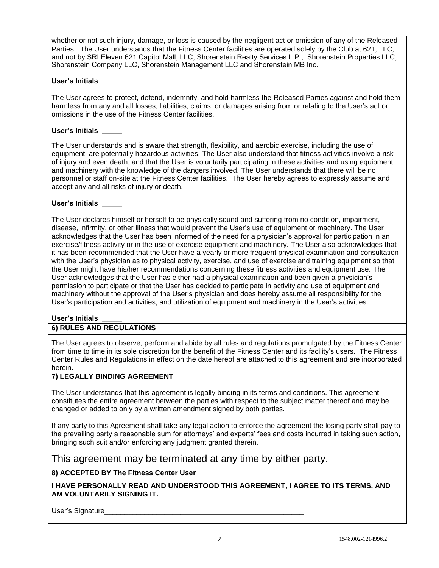whether or not such injury, damage, or loss is caused by the negligent act or omission of any of the Released Parties. The User understands that the Fitness Center facilities are operated solely by the Club at 621, LLC, and not by SRI Eleven 621 Capitol Mall, LLC, Shorenstein Realty Services L.P., Shorenstein Properties LLC, Shorenstein Company LLC, Shorenstein Management LLC and Shorenstein MB Inc.

### **User's Initials \_\_\_\_\_**

The User agrees to protect, defend, indemnify, and hold harmless the Released Parties against and hold them harmless from any and all losses, liabilities, claims, or damages arising from or relating to the User's act or omissions in the use of the Fitness Center facilities.

### **User's Initials \_\_\_\_\_**

The User understands and is aware that strength, flexibility, and aerobic exercise, including the use of equipment, are potentially hazardous activities. The User also understand that fitness activities involve a risk of injury and even death, and that the User is voluntarily participating in these activities and using equipment and machinery with the knowledge of the dangers involved. The User understands that there will be no personnel or staff on-site at the Fitness Center facilities. The User hereby agrees to expressly assume and accept any and all risks of injury or death.

### **User's Initials \_\_\_\_\_**

The User declares himself or herself to be physically sound and suffering from no condition, impairment, disease, infirmity, or other illness that would prevent the User's use of equipment or machinery. The User acknowledges that the User has been informed of the need for a physician's approval for participation in an exercise/fitness activity or in the use of exercise equipment and machinery. The User also acknowledges that it has been recommended that the User have a yearly or more frequent physical examination and consultation with the User's physician as to physical activity, exercise, and use of exercise and training equipment so that the User might have his/her recommendations concerning these fitness activities and equipment use. The User acknowledges that the User has either had a physical examination and been given a physician's permission to participate or that the User has decided to participate in activity and use of equipment and machinery without the approval of the User's physician and does hereby assume all responsibility for the User's participation and activities, and utilization of equipment and machinery in the User's activities.

### **User's Initials \_\_\_\_\_**

## **6) RULES AND REGULATIONS**

The User agrees to observe, perform and abide by all rules and regulations promulgated by the Fitness Center from time to time in its sole discretion for the benefit of the Fitness Center and its facility's users. The Fitness Center Rules and Regulations in effect on the date hereof are attached to this agreement and are incorporated herein.

### **7) LEGALLY BINDING AGREEMENT**

The User understands that this agreement is legally binding in its terms and conditions. This agreement constitutes the entire agreement between the parties with respect to the subject matter thereof and may be changed or added to only by a written amendment signed by both parties.

If any party to this Agreement shall take any legal action to enforce the agreement the losing party shall pay to the prevailing party a reasonable sum for attorneys' and experts' fees and costs incurred in taking such action, bringing such suit and/or enforcing any judgment granted therein.

This agreement may be terminated at any time by either party.

### **8) ACCEPTED BY The Fitness Center User**

**I HAVE PERSONALLY READ AND UNDERSTOOD THIS AGREEMENT, I AGREE TO ITS TERMS, AND AM VOLUNTARILY SIGNING IT.**

User's Signature\_\_\_\_\_\_\_\_\_\_\_\_\_\_\_\_\_\_\_\_\_\_\_\_\_\_\_\_\_\_\_\_\_\_\_\_\_\_\_\_\_\_\_\_\_\_\_\_\_\_